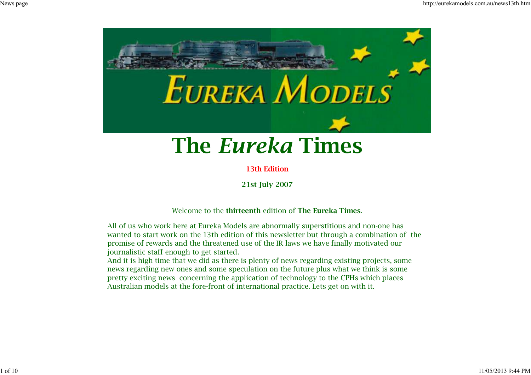

# **The** *Eureka* **Times**

**13th Edition**

**21st July 2007**

Welcome to the **thirteenth** edition of **The Eureka Times**.

All of us who work here at Eureka Models are abnormally superstitious and non-one haswanted to start work on the 13th edition of this newsletter but through a combination of the promise of rewards and the threatened use of the IR laws we have finally motivated ourjournalistic staff enough to get started.

 And it is high time that we did as there is plenty of news regarding existing projects, some news regarding new ones and some speculation on the future plus what we think is some pretty exciting news concerning the application of technology to the CPHs which placesAustralian models at the fore-front of international practice. Lets get on with it.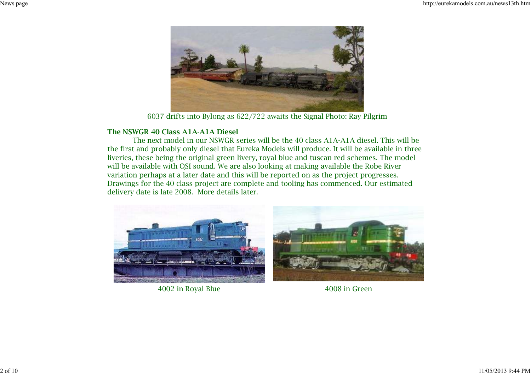

6037 drifts into Bylong as 622/722 awaits the Signal Photo: Ray Pilgrim

#### **The NSWGR 40 Class A1A-A1A Diesel**

 The next model in our NSWGR series will be the 40 class A1A-A1A diesel. This will be the first and probably only diesel that Eureka Models will produce. It will be available in threeliveries, these being the original green livery, royal blue and tuscan red schemes. The modelwill be available with QSI sound. We are also looking at making available the Robe River variation perhaps at a later date and this will be reported on as the project progresses. Drawings for the 40 class project are complete and tooling has commenced. Our estimateddelivery date is late 2008. More details later.



4002 in Royal Blue 4008 in Green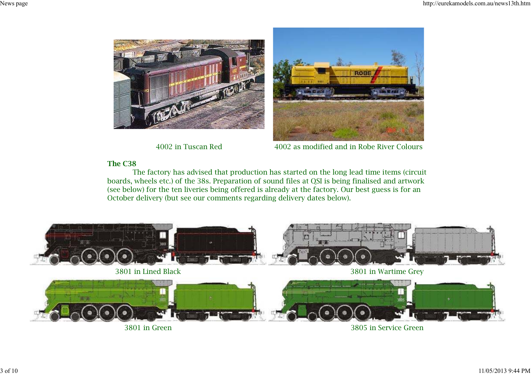



4002 in Tuscan Red 4002 as modified and in Robe River Colours

## **The C38**

 The factory has advised that production has started on the long lead time items (circuit boards, wheels etc.) of the 38s. Preparation of sound files at QSI is being finalised and artwork (see below) for the ten liveries being offered is already at the factory. Our best guess is for anOctober delivery (but see our comments regarding delivery dates below).



3801 in Green

3805 in Service Green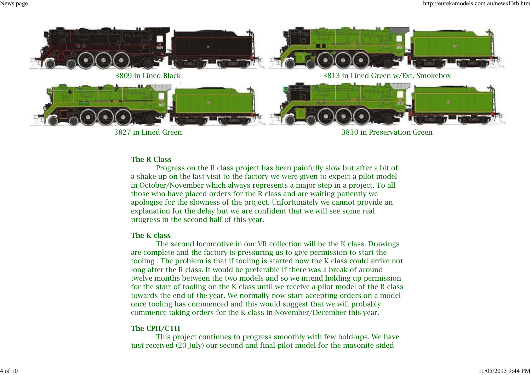

3827 in Lined Green

3830 in Preservation Green

### **The R Class**

 Progress on the R class project has been painfully slow but after a bit of a shake up on the last visit to the factory we were given to expect a pilot model in October/November which always represents a major step in a project. To allthose who have placed orders for the R class and are waiting patiently we apologise for the slowness of the project. Unfortunately we cannot provide anexplanation for the delay but we are confident that we will see some realprogress in the second half of this year.

#### **The K class**

 The second locomotive in our VR collection will be the K class. Drawingsare complete and the factory is pressuring us to give permission to start the tooling . The problem is that if tooling is started now the K class could arrive notlong after the R class. It would be preferable if there was a break of around twelve months between the two models and so we intend holding up permission for the start of tooling on the K class until we receive a pilot model of the R class towards the end of the year. We normally now start accepting orders on a modelonce tooling has commenced and this would suggest that we will probablycommence taking orders for the K class in November/December this year.

#### **The CPH/CTH**

 This project continues to progress smoothly with few hold-ups. We havejust received (20 July) our second and final pilot model for the masonite sided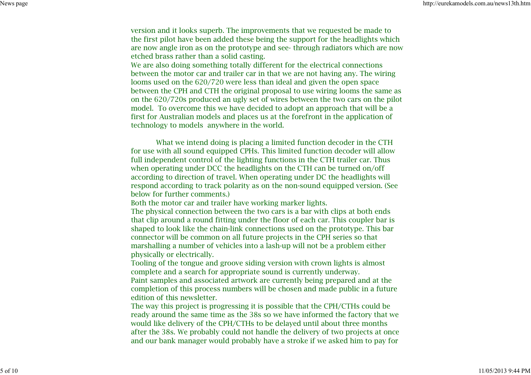version and it looks superb. The improvements that we requested be made to the first pilot have been added these being the support for the headlights which are now angle iron as on the prototype and see- through radiators which are nowetched brass rather than a solid casting.

We are also doing something totally different for the electrical connections between the motor car and trailer car in that we are not having any. The wiringlooms used on the 620/720 were less than ideal and given the open space between the CPH and CTH the original proposal to use wiring looms the same as on the 620/720s produced an ugly set of wires between the two cars on the pilotmodel. To overcome this we have decided to adopt an approach that will be a first for Australian models and places us at the forefront in the application oftechnology to models anywhere in the world.

 What we intend doing is placing a limited function decoder in the CTH for use with all sound equipped CPHs. This limited function decoder will allow full independent control of the lighting functions in the CTH trailer car. Thuswhen operating under DCC the headlights on the CTH can be turned on/off according to direction of travel. When operating under DC the headlights will respond according to track polarity as on the non-sound equipped version. (Seebelow for further comments.)

Both the motor car and trailer have working marker lights.

 The physical connection between the two cars is a bar with clips at both ends that clip around a round fitting under the floor of each car. This coupler bar is shaped to look like the chain-link connections used on the prototype. This barconnector will be common on all future projects in the CPH series so that marshalling a number of vehicles into a lash-up will not be a problem eitherphysically or electrically.

Tooling of the tongue and groove siding version with crown lights is almostcomplete and a search for appropriate sound is currently underway. Paint samples and associated artwork are currently being prepared and at the completion of this process numbers will be chosen and made public in a futureedition of this newsletter.

 The way this project is progressing it is possible that the CPH/CTHs could be ready around the same time as the 38s so we have informed the factory that wewould like delivery of the CPH/CTHs to be delayed until about three months after the 38s. We probably could not handle the delivery of two projects at onceand our bank manager would probably have a stroke if we asked him to pay for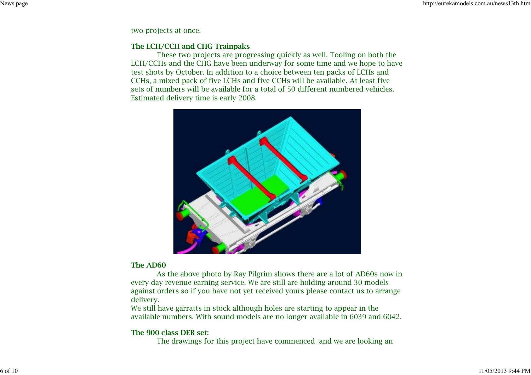two projects at once.

## **The LCH/CCH and CHG Trainpaks**

 These two projects are progressing quickly as well. Tooling on both the LCH/CCHs and the CHG have been underway for some time and we hope to havetest shots by October. In addition to a choice between ten packs of LCHs and CCHs, a mixed pack of five LCHs and five CCHs will be available. At least five sets of numbers will be available for a total of 50 different numbered vehicles.Estimated delivery time is early 2008.



#### **The AD60**

 As the above photo by Ray Pilgrim shows there are a lot of AD60s now inevery day revenue earning service. We are still are holding around 30 models against orders so if you have not yet received yours please contact us to arrangedelivery.

 We still have garratts in stock although holes are starting to appear in theavailable numbers. With sound models are no longer available in 6039 and 6042.

## **The 900 class DEB set:**

The drawings for this project have commenced and we are looking an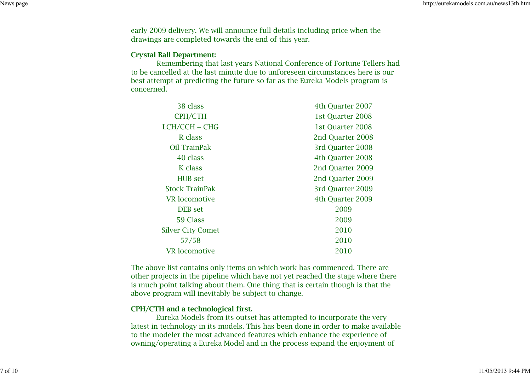early 2009 delivery. We will announce full details including price when thedrawings are completed towards the end of this year.

#### **Crystal Ball Department:**

 Remembering that last years National Conference of Fortune Tellers hadto be cancelled at the last minute due to unforeseen circumstances here is ourbest attempt at predicting the future so far as the Eureka Models program isconcerned.

| 38 class                 | 4th Ouarter 2007 |
|--------------------------|------------------|
| CPH/CTH                  | 1st Quarter 2008 |
| $LCH/CCH + CHG$          | 1st Quarter 2008 |
| R class                  | 2nd Quarter 2008 |
| Oil TrainPak             | 3rd Quarter 2008 |
| 40 class                 | 4th Quarter 2008 |
| K class                  | 2nd Ouarter 2009 |
| <b>HUB</b> set           | 2nd Quarter 2009 |
| <b>Stock TrainPak</b>    | 3rd Ouarter 2009 |
| VR locomotive            | 4th Quarter 2009 |
| <b>DEB</b> set           | 2009             |
| 59 Class                 | 2009             |
| <b>Silver City Comet</b> | 2010             |
| 57/58                    | 2010             |
| <b>VR</b> locomotive     | 2010             |

The above list contains only items on which work has commenced. There are other projects in the pipeline which have not yet reached the stage where thereis much point talking about them. One thing that is certain though is that theabove program will inevitably be subject to change.

#### **CPH/CTH and a technological first.**

 Eureka Models from its outset has attempted to incorporate the very latest in technology in its models. This has been done in order to make availableto the modeler the most advanced features which enhance the experience ofowning/operating a Eureka Model and in the process expand the enjoyment of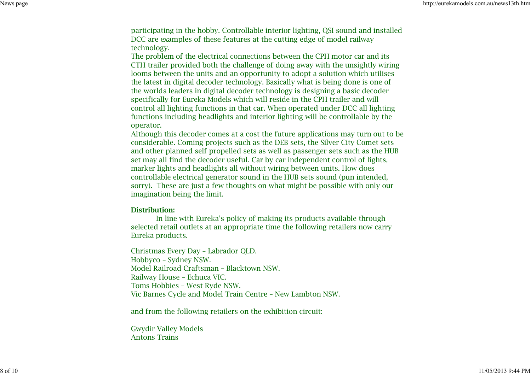participating in the hobby. Controllable interior lighting, QSI sound and installedDCC are examples of these features at the cutting edge of model railwaytechnology.

 The problem of the electrical connections between the CPH motor car and its CTH trailer provided both the challenge of doing away with the unsightly wiringlooms between the units and an opportunity to adopt a solution which utilises the latest in digital decoder technology. Basically what is being done is one of the worlds leaders in digital decoder technology is designing a basic decoderspecifically for Eureka Models which will reside in the CPH trailer and will control all lighting functions in that car. When operated under DCC all lighting functions including headlights and interior lighting will be controllable by theoperator.

 Although this decoder comes at a cost the future applications may turn out to beconsiderable. Coming projects such as the DEB sets, the Silver City Comet sets and other planned self propelled sets as well as passenger sets such as the HUBset may all find the decoder useful. Car by car independent control of lights,marker lights and headlights all without wiring between units. How does controllable electrical generator sound in the HUB sets sound (pun intended,sorry). These are just a few thoughts on what might be possible with only ourimagination being the limit.

#### **Distribution:**

 In line with Eureka's policy of making its products available through selected retail outlets at an appropriate time the following retailers now carryEureka products.

Christmas Every Day – Labrador QLD.Hobbyco – Sydney NSW. Model Railroad Craftsman – Blacktown NSW.Railway House – Echuca VIC. Toms Hobbies – West Ryde NSW.Vic Barnes Cycle and Model Train Centre – New Lambton NSW.

and from the following retailers on the exhibition circuit:

Gwydir Valley Models Antons Trains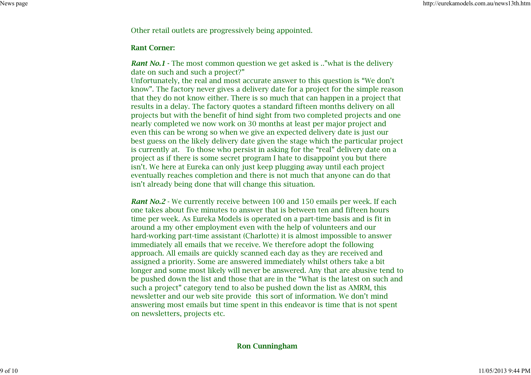Other retail outlets are progressively being appointed.

#### **Rant Corner:**

*Rant No.1* - The most common question we get asked is .."what is the delivery date on such and such a project?"

 Unfortunately, the real and most accurate answer to this question is "We don't know". The factory never gives a delivery date for a project for the simple reason that they do not know either. There is so much that can happen in a project thatresults in a delay. The factory quotes a standard fifteen months delivery on all projects but with the benefit of hind sight from two completed projects and onenearly completed we now work on 30 months at least per major project and even this can be wrong so when we give an expected delivery date is just our best guess on the likely delivery date given the stage which the particular projectis currently at. To those who persist in asking for the "real" delivery date on aproject as if there is some secret program I hate to disappoint you but there isn't. We here at Eureka can only just keep plugging away until each project eventually reaches completion and there is not much that anyone can do thatisn't already being done that will change this situation.

*Rant No.2* - We currently receive between 100 and 150 emails per week. If each one takes about five minutes to answer that is between ten and fifteen hours time per week. As Eureka Models is operated on a part-time basis and is fit inaround a my other employment even with the help of volunteers and our hard-working part-time assistant (Charlotte) it is almost impossible to answerimmediately all emails that we receive. We therefore adopt the following approach. All emails are quickly scanned each day as they are received and assigned a priority. Some are answered immediately whilst others take a bit longer and some most likely will never be answered. Any that are abusive tend to be pushed down the list and those that are in the "What is the latest on such andsuch a project" category tend to also be pushed down the list as AMRM, this newsletter and our web site provide this sort of information. We don't mind answering most emails but time spent in this endeavor is time that is not spenton newsletters, projects etc.